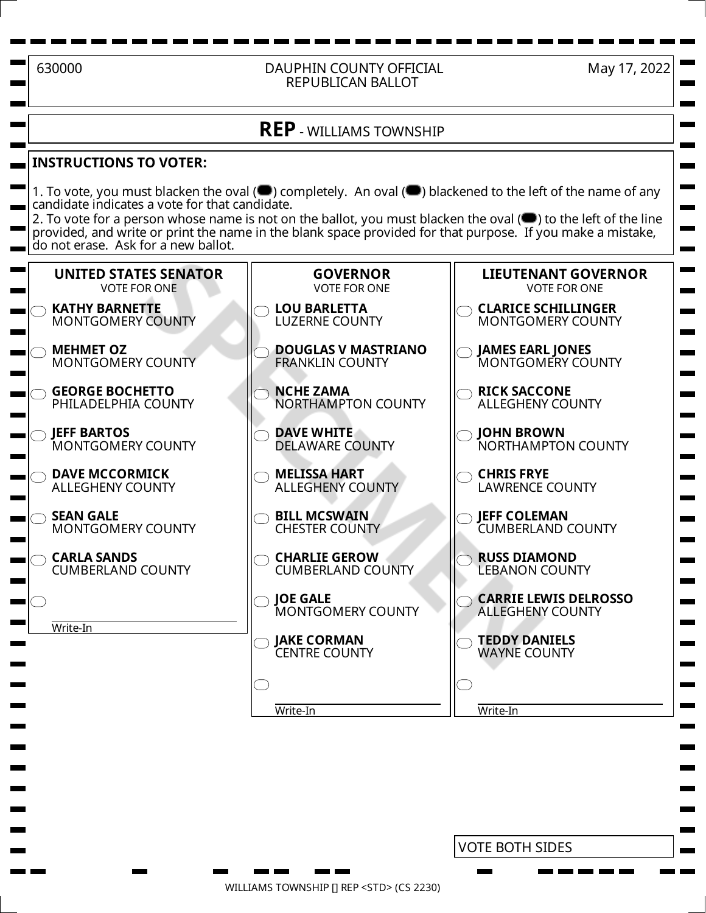## 630000 DAUPHIN COUNTY OFFICIAL REPUBLICAN BALLOT

May 17, 2022

## **REP** - WILLIAMS TOWNSHIP

## **INSTRUCTIONS TO VOTER:**

1. To vote, you must blacken the oval ( $\blacksquare$ ) completely. An oval ( $\blacksquare$ ) blackened to the left of the name of any candidate indicates a vote for that candidate.

2. To vote for a person whose name is not on the ballot, you must blacken the oval ( $\blacksquare$ ) to the left of the line provided, and write or print the name in the blank space provided for that purpose. If you make a mistake, do not erase. Ask for a new ballot.